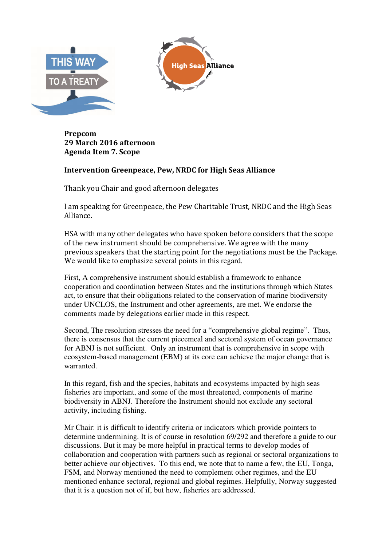

**Prepcom 29 March 2016 afternoon Agenda Item 7. Scope** 

## **Intervention Greenpeace, Pew, NRDC for High Seas Alliance**

Thank you Chair and good afternoon delegates

I am speaking for Greenpeace, the Pew Charitable Trust, NRDC and the High Seas Alliance.

HSA with many other delegates who have spoken before considers that the scope of the new instrument should be comprehensive. We agree with the many previous speakers that the starting point for the negotiations must be the Package. We would like to emphasize several points in this regard.

First, A comprehensive instrument should establish a framework to enhance cooperation and coordination between States and the institutions through which States act, to ensure that their obligations related to the conservation of marine biodiversity under UNCLOS, the Instrument and other agreements, are met. We endorse the comments made by delegations earlier made in this respect.

Second, The resolution stresses the need for a "comprehensive global regime". Thus, there is consensus that the current piecemeal and sectoral system of ocean governance for ABNJ is not sufficient. Only an instrument that is comprehensive in scope with ecosystem-based management (EBM) at its core can achieve the major change that is warranted.

In this regard, fish and the species, habitats and ecosystems impacted by high seas fisheries are important, and some of the most threatened, components of marine biodiversity in ABNJ. Therefore the Instrument should not exclude any sectoral activity, including fishing.

Mr Chair: it is difficult to identify criteria or indicators which provide pointers to determine undermining. It is of course in resolution 69/292 and therefore a guide to our discussions. But it may be more helpful in practical terms to develop modes of collaboration and cooperation with partners such as regional or sectoral organizations to better achieve our objectives. To this end, we note that to name a few, the EU, Tonga, FSM, and Norway mentioned the need to complement other regimes, and the EU mentioned enhance sectoral, regional and global regimes. Helpfully, Norway suggested that it is a question not of if, but how, fisheries are addressed.